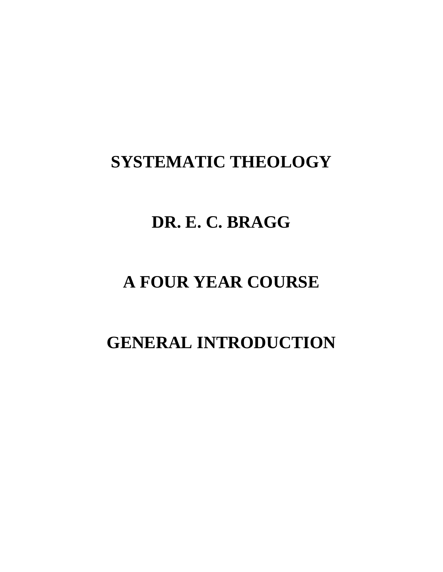### **SYSTEMATIC THEOLOGY**

### **DR. E. C. BRAGG**

### **A FOUR YEAR COURSE**

## **GENERAL INTRODUCTION**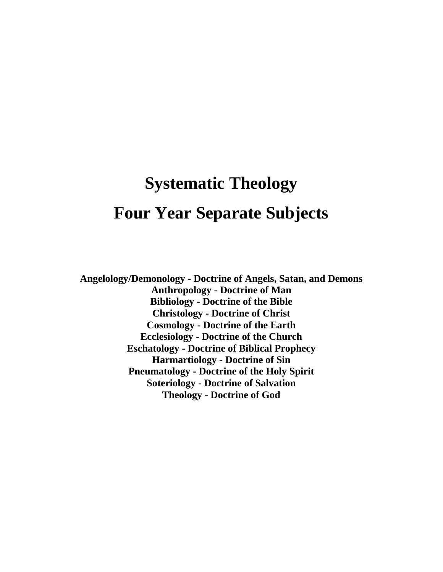# **Systematic Theology Four Year Separate Subjects**

**Angelology/Demonology - Doctrine of Angels, Satan, and Demons Anthropology - Doctrine of Man Bibliology - Doctrine of the Bible Christology - Doctrine of Christ Cosmology - Doctrine of the Earth Ecclesiology - Doctrine of the Church Eschatology - Doctrine of Biblical Prophecy Harmartiology - Doctrine of Sin Pneumatology - Doctrine of the Holy Spirit Soteriology - Doctrine of Salvation Theology - Doctrine of God**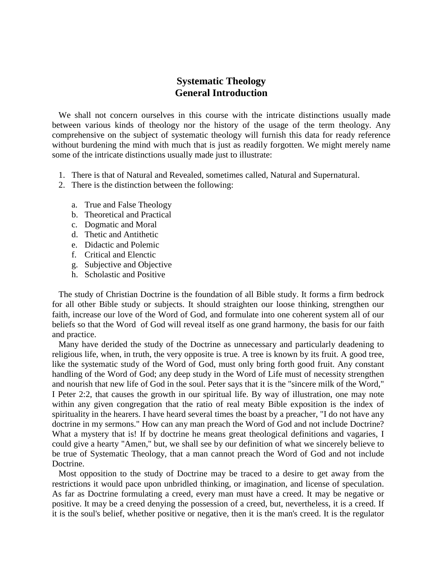### **Systematic Theology General Introduction**

We shall not concern ourselves in this course with the intricate distinctions usually made between various kinds of theology nor the history of the usage of the term theology. Any comprehensive on the subject of systematic theology will furnish this data for ready reference without burdening the mind with much that is just as readily forgotten. We might merely name some of the intricate distinctions usually made just to illustrate:

- 1. There is that of Natural and Revealed, sometimes called, Natural and Supernatural.
- 2. There is the distinction between the following:
	- a. True and False Theology
	- b. Theoretical and Practical
	- c. Dogmatic and Moral
	- d. Thetic and Antithetic
	- e. Didactic and Polemic
	- f. Critical and Elenctic
	- g. Subjective and Objective
	- h. Scholastic and Positive

The study of Christian Doctrine is the foundation of all Bible study. It forms a firm bedrock for all other Bible study or subjects. It should straighten our loose thinking, strengthen our faith, increase our love of the Word of God, and formulate into one coherent system all of our beliefs so that the Word of God will reveal itself as one grand harmony, the basis for our faith and practice.

Many have derided the study of the Doctrine as unnecessary and particularly deadening to religious life, when, in truth, the very opposite is true. A tree is known by its fruit. A good tree, like the systematic study of the Word of God, must only bring forth good fruit. Any constant handling of the Word of God; any deep study in the Word of Life must of necessity strengthen and nourish that new life of God in the soul. Peter says that it is the "sincere milk of the Word," I Peter 2:2, that causes the growth in our spiritual life. By way of illustration, one may note within any given congregation that the ratio of real meaty Bible exposition is the index of spirituality in the hearers. I have heard several times the boast by a preacher, "I do not have any doctrine in my sermons." How can any man preach the Word of God and not include Doctrine? What a mystery that is! If by doctrine he means great theological definitions and vagaries, I could give a hearty "Amen," but, we shall see by our definition of what we sincerely believe to be true of Systematic Theology, that a man cannot preach the Word of God and not include Doctrine.

Most opposition to the study of Doctrine may be traced to a desire to get away from the restrictions it would pace upon unbridled thinking, or imagination, and license of speculation. As far as Doctrine formulating a creed, every man must have a creed. It may be negative or positive. It may be a creed denying the possession of a creed, but, nevertheless, it is a creed. If it is the soul's belief, whether positive or negative, then it is the man's creed. It is the regulator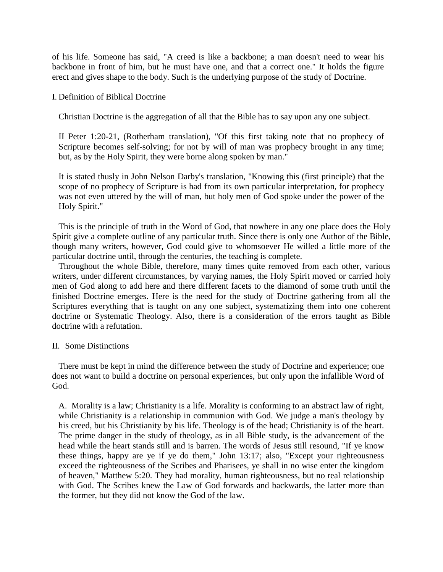of his life. Someone has said, "A creed is like a backbone; a man doesn't need to wear his backbone in front of him, but he must have one, and that a correct one." It holds the figure erect and gives shape to the body. Such is the underlying purpose of the study of Doctrine.

#### I. Definition of Biblical Doctrine

Christian Doctrine is the aggregation of all that the Bible has to say upon any one subject.

II Peter 1:20-21, (Rotherham translation), "Of this first taking note that no prophecy of Scripture becomes self-solving; for not by will of man was prophecy brought in any time; but, as by the Holy Spirit, they were borne along spoken by man."

It is stated thusly in John Nelson Darby's translation, "Knowing this (first principle) that the scope of no prophecy of Scripture is had from its own particular interpretation, for prophecy was not even uttered by the will of man, but holy men of God spoke under the power of the Holy Spirit."

This is the principle of truth in the Word of God, that nowhere in any one place does the Holy Spirit give a complete outline of any particular truth. Since there is only one Author of the Bible, though many writers, however, God could give to whomsoever He willed a little more of the particular doctrine until, through the centuries, the teaching is complete.

Throughout the whole Bible, therefore, many times quite removed from each other, various writers, under different circumstances, by varying names, the Holy Spirit moved or carried holy men of God along to add here and there different facets to the diamond of some truth until the finished Doctrine emerges. Here is the need for the study of Doctrine gathering from all the Scriptures everything that is taught on any one subject, systematizing them into one coherent doctrine or Systematic Theology. Also, there is a consideration of the errors taught as Bible doctrine with a refutation.

#### II. Some Distinctions

There must be kept in mind the difference between the study of Doctrine and experience; one does not want to build a doctrine on personal experiences, but only upon the infallible Word of God.

A. Morality is a law; Christianity is a life. Morality is conforming to an abstract law of right, while Christianity is a relationship in communion with God. We judge a man's theology by his creed, but his Christianity by his life. Theology is of the head; Christianity is of the heart. The prime danger in the study of theology, as in all Bible study, is the advancement of the head while the heart stands still and is barren. The words of Jesus still resound, "If ye know these things, happy are ye if ye do them," John 13:17; also, "Except your righteousness exceed the righteousness of the Scribes and Pharisees, ye shall in no wise enter the kingdom of heaven," Matthew 5:20. They had morality, human righteousness, but no real relationship with God. The Scribes knew the Law of God forwards and backwards, the latter more than the former, but they did not know the God of the law.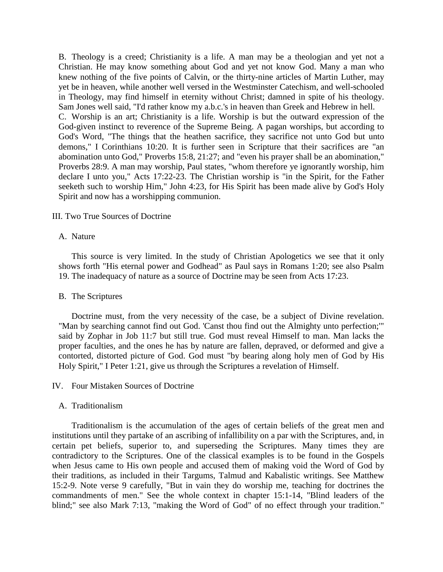B. Theology is a creed; Christianity is a life. A man may be a theologian and yet not a Christian. He may know something about God and yet not know God. Many a man who knew nothing of the five points of Calvin, or the thirty-nine articles of Martin Luther, may yet be in heaven, while another well versed in the Westminster Catechism, and well-schooled in Theology, may find himself in eternity without Christ; damned in spite of his theology. Sam Jones well said, "I'd rather know my a.b.c.'s in heaven than Greek and Hebrew in hell. C. Worship is an art; Christianity is a life. Worship is but the outward expression of the God-given instinct to reverence of the Supreme Being. A pagan worships, but according to God's Word, "The things that the heathen sacrifice, they sacrifice not unto God but unto demons," I Corinthians 10:20. It is further seen in Scripture that their sacrifices are "an abomination unto God," Proverbs 15:8, 21:27; and "even his prayer shall be an abomination," Proverbs 28:9. A man may worship, Paul states, "whom therefore ye ignorantly worship, him declare I unto you," Acts 17:22-23. The Christian worship is "in the Spirit, for the Father seeketh such to worship Him," John 4:23, for His Spirit has been made alive by God's Holy Spirit and now has a worshipping communion.

#### III. Two True Sources of Doctrine

#### A. Nature

This source is very limited. In the study of Christian Apologetics we see that it only shows forth "His eternal power and Godhead" as Paul says in Romans 1:20; see also Psalm 19. The inadequacy of nature as a source of Doctrine may be seen from Acts 17:23.

#### B. The Scriptures

Doctrine must, from the very necessity of the case, be a subject of Divine revelation. "Man by searching cannot find out God. 'Canst thou find out the Almighty unto perfection;'" said by Zophar in Job 11:7 but still true. God must reveal Himself to man. Man lacks the proper faculties, and the ones he has by nature are fallen, depraved, or deformed and give a contorted, distorted picture of God. God must "by bearing along holy men of God by His Holy Spirit," I Peter 1:21, give us through the Scriptures a revelation of Himself.

#### IV. Four Mistaken Sources of Doctrine

#### A. Traditionalism

Traditionalism is the accumulation of the ages of certain beliefs of the great men and institutions until they partake of an ascribing of infallibility on a par with the Scriptures, and, in certain pet beliefs, superior to, and superseding the Scriptures. Many times they are contradictory to the Scriptures. One of the classical examples is to be found in the Gospels when Jesus came to His own people and accused them of making void the Word of God by their traditions, as included in their Targums, Talmud and Kabalistic writings. See Matthew 15:2-9. Note verse 9 carefully, "But in vain they do worship me, teaching for doctrines the commandments of men." See the whole context in chapter 15:1-14, "Blind leaders of the blind;" see also Mark 7:13, "making the Word of God" of no effect through your tradition."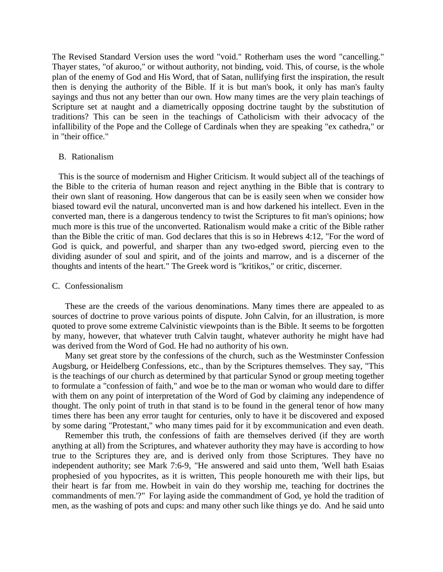The Revised Standard Version uses the word "void." Rotherham uses the word "cancelling." Thayer states, "of akuroo," or without authority, not binding, void. This, of course, is the whole plan of the enemy of God and His Word, that of Satan, nullifying first the inspiration, the result then is denying the authority of the Bible. If it is but man's book, it only has man's faulty sayings and thus not any better than our own. How many times are the very plain teachings of Scripture set at naught and a diametrically opposing doctrine taught by the substitution of traditions? This can be seen in the teachings of Catholicism with their advocacy of the infallibility of the Pope and the College of Cardinals when they are speaking "ex cathedra," or in "their office."

#### B. Rationalism

This is the source of modernism and Higher Criticism. It would subject all of the teachings of the Bible to the criteria of human reason and reject anything in the Bible that is contrary to their own slant of reasoning. How dangerous that can be is easily seen when we consider how biased toward evil the natural, unconverted man is and how darkened his intellect. Even in the converted man, there is a dangerous tendency to twist the Scriptures to fit man's opinions; how much more is this true of the unconverted. Rationalism would make a critic of the Bible rather than the Bible the critic of man. God declares that this is so in Hebrews 4:12, "For the word of God is quick, and powerful, and sharper than any two-edged sword, piercing even to the dividing asunder of soul and spirit, and of the joints and marrow, and is a discerner of the thoughts and intents of the heart." The Greek word is "kritikos," or critic, discerner.

#### C. Confessionalism

These are the creeds of the various denominations. Many times there are appealed to as sources of doctrine to prove various points of dispute. John Calvin, for an illustration, is more quoted to prove some extreme Calvinistic viewpoints than is the Bible. It seems to be forgotten by many, however, that whatever truth Calvin taught, whatever authority he might have had was derived from the Word of God. He had no authority of his own.

Many set great store by the confessions of the church, such as the Westminster Confession Augsburg, or Heidelberg Confessions, etc., than by the Scriptures themselves. They say, "This is the teachings of our church as determined by that particular Synod or group meeting together to formulate a "confession of faith," and woe be to the man or woman who would dare to differ with them on any point of interpretation of the Word of God by claiming any independence of thought. The only point of truth in that stand is to be found in the general tenor of how many times there has been any error taught for centuries, only to have it be discovered and exposed by some daring "Protestant," who many times paid for it by excommunication and even death.

Remember this truth, the confessions of faith are themselves derived (if they are worth anything at all) from the Scriptures, and whatever authority they may have is according to how true to the Scriptures they are, and is derived only from those Scriptures. They have no independent authority; see Mark 7:6-9, "He answered and said unto them, 'Well hath Esaias prophesied of you hypocrites, as it is written, This people honoureth me with their lips, but their heart is far from me. Howbeit in vain do they worship me, teaching for doctrines the commandments of men.'?" For laying aside the commandment of God, ye hold the tradition of men, as the washing of pots and cups: and many other such like things ye do. And he said unto